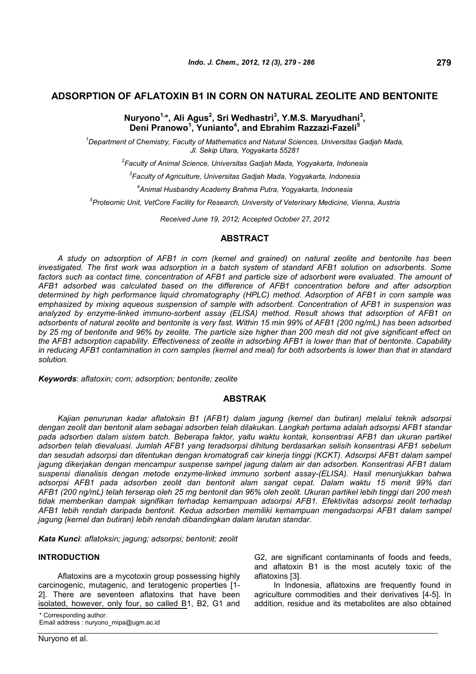# **ADSORPTION OF AFLATOXIN B1 IN CORN ON NATURAL ZEOLITE AND BENTONITE**

# **Nuryono1,\*, Ali Agus<sup>2</sup> , Sri Wedhastri<sup>3</sup> , Y.M.S. Maryudhani<sup>3</sup> , Deni Pranowo<sup>1</sup> , Yunianto<sup>4</sup> , and Ebrahim Razzazi-Fazeli<sup>5</sup>**

*<sup>1</sup>Department of Chemistry, Faculty of Mathematics and Natural Sciences, Universitas Gadjah Mada, Jl. Sekip Utara, Yogyakarta 55281*

*2 Faculty of Animal Science, Universitas Gadjah Mada, Yogyakarta, Indonesia*

*3 Faculty of Agriculture, Universitas Gadjah Mada, Yogyakarta, Indonesia*

*4 Animal Husbandry Academy Brahma Putra, Yogyakarta, Indonesia*

*5 Proteomic Unit, VetCore Facility for Research, University of Veterinary Medicine, Vienna, Austria*

*Received June 19, 2012; Accepted October 27, 2012*

## **ABSTRACT**

*A study on adsorption of AFB1 in corn (kernel and grained) on natural zeolite and bentonite has been investigated. The first work was adsorption in a batch system of standard AFB1 solution on adsorbents. Some factors such as contact time, concentration of AFB1 and particle size of adsorbent were evaluated. The amount of AFB1 adsorbed was calculated based on the difference of AFB1 concentration before and after adsorption determined by high performance liquid chromatography (HPLC) method. Adsorption of AFB1 in corn sample was emphasized by mixing aqueous suspension of sample with adsorbent. Concentration of AFB1 in suspension was analyzed by enzyme-linked immuno-sorbent assay (ELISA) method. Result shows that adsorption of AFB1 on adsorbents of natural zeolite and bentonite is very fast. Within 15 min 99% of AFB1 (200 ng/mL) has been adsorbed by 25 mg of bentonite and 96% by zeolite. The particle size higher than 200 mesh did not give significant effect on the AFB1 adsorption capability. Effectiveness of zeolite in adsorbing AFB1 is lower than that of bentonite. Capability in reducing AFB1 contamination in corn samples (kernel and meal) for both adsorbents is lower than that in standard solution.*

*Keywords*: *aflatoxin; corn; adsorption; bentonite; zeolite*

# **ABSTRAK**

*Kajian penurunan kadar aflatoksin B1 (AFB1) dalam jagung (kernel dan butiran) melalui teknik adsorpsi dengan zeolit dan bentonit alam sebagai adsorben telah dilakukan. Langkah pertama adalah adsorpsi AFB1 standar pada adsorben dalam sistem batch. Beberapa faktor, yaitu waktu kontak, konsentrasi AFB1 dan ukuran partikel adsorben telah dievaluasi. Jumlah AFB1 yang teradsorpsi dihitung berdasarkan selisih konsentrasi AFB1 sebelum dan sesudah adsorpsi dan ditentukan dengan kromatografi cair kinerja tinggi (KCKT). Adsorpsi AFB1 dalam sampel jagung dikerjakan dengan mencampur suspense sampel jagung dalam air dan adsorben. Konsentrasi AFB1 dalam suspensi dianalisis dengan metode enzyme-linked immuno sorbent assay-(ELISA). Hasil menunjukkan bahwa adsorpsi AFB1 pada adsorben zeolit dan bentonit alam sangat cepat. Dalam waktu 15 menit 99% dari AFB1 (200 ng/mL) telah terserap oleh 25 mg bentonit dan 96% oleh zeolit. Ukuran partikel lebih tinggi dari 200 mesh tidak memberikan dampak signifikan terhadap kemampuan adsorpsi AFB1. Efektivitas adsorpsi zeolit terhadap AFB1 lebih rendah daripada bentonit. Kedua adsorben memiliki kemampuan mengadsorpsi AFB1 dalam sampel jagung (kernel dan butiran) lebih rendah dibandingkan dalam larutan standar.*

*Kata Kunci*: *aflatoksin; jagung; adsorpsi; bentonit; zeolit*

#### **INTRODUCTION**

Aflatoxins are a mycotoxin group possessing highly carcinogenic, mutagenic, and teratogenic properties [1- 2]. There are seventeen aflatoxins that have been isolated, however, only four, so called B1, B2, G1 and

\* Corresponding author.

Email address : nuryono\_mipa@ugm.ac.id

G2, are significant contaminants of foods and feeds, and aflatoxin B1 is the most acutely toxic of the aflatoxins [3].

In Indonesia, aflatoxins are frequently found in agriculture commodities and their derivatives [4-5]. In addition, residue and its metabolites are also obtained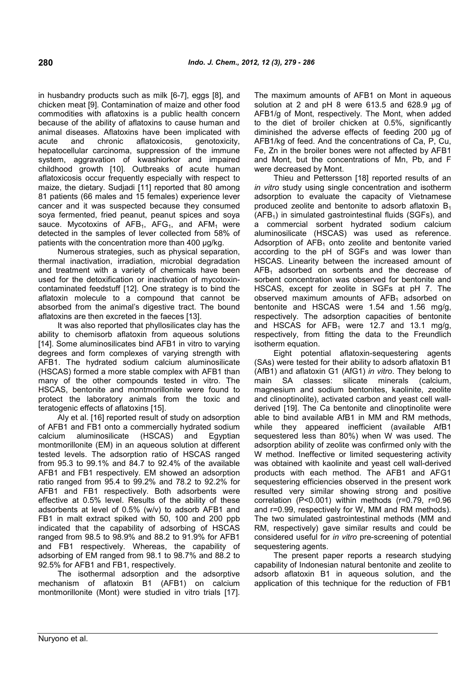in husbandry products such as milk [6-7], eggs [8], and chicken meat [9]. Contamination of maize and other food commodities with aflatoxins is a public health concern because of the ability of aflatoxins to cause human and animal diseases. Aflatoxins have been implicated with acute and chronic aflatoxicosis, genotoxicity, hepatocellular carcinoma, suppression of the immune system, aggravation of kwashiorkor and impaired childhood growth [10]. Outbreaks of acute human aflatoxicosis occur frequently especially with respect to maize, the dietary. Sudjadi [11] reported that 80 among 81 patients (66 males and 15 females) experience lever cancer and it was suspected because they consumed soya fermented, fried peanut, peanut spices and soya sauce. Mycotoxins of  $AFB<sub>1</sub>$ ,  $AFG<sub>1</sub>$ , and  $AFM<sub>1</sub>$  were detected in the samples of lever collected from 58% of patients with the concentration more than 400 ug/kg.

Numerous strategies, such as physical separation, thermal inactivation, irradiation, microbial degradation and treatment with a variety of chemicals have been used for the detoxification or inactivation of mycotoxincontaminated feedstuff [12]. One strategy is to bind the aflatoxin molecule to a compound that cannot be absorbed from the animal's digestive tract. The bound aflatoxins are then excreted in the faeces [13].

It was also reported that phyllosilicates clay has the ability to chemisorb aflatoxin from aqueous solutions [14]. Some aluminosilicates bind AFB1 in vitro to varying degrees and form complexes of varying strength with AFB1. The hydrated sodium calcium aluminosilicate (HSCAS) formed a more stable complex with AFB1 than many of the other compounds tested in vitro. The HSCAS, bentonite and montmorillonite were found to protect the laboratory animals from the toxic and teratogenic effects of aflatoxins [15].

Aly et al. [16] reported result of study on adsorption of AFB1 and FB1 onto a commercially hydrated sodium calcium aluminosilicate (HSCAS) and Egyptian montmorillonite (EM) in an aqueous solution at different tested levels. The adsorption ratio of HSCAS ranged from 95.3 to 99.1% and 84.7 to 92.4% of the available AFB1 and FB1 respectively. EM showed an adsorption ratio ranged from 95.4 to 99.2% and 78.2 to 92.2% for AFB1 and FB1 respectively. Both adsorbents were effective at 0.5% level. Results of the ability of these adsorbents at level of 0.5% (w/v) to adsorb AFB1 and FB1 in malt extract spiked with 50, 100 and 200 ppb indicated that the capability of adsorbing of HSCAS ranged from 98.5 to 98.9% and 88.2 to 91.9% for AFB1 and FB1 respectively. Whereas, the capability of adsorbing of EM ranged from 98.1 to 98.7% and 88.2 to 92.5% for AFB1 and FB1, respectively.

The isothermal adsorption and the adsorptive mechanism of aflatoxin B1 (AFB1) on calcium montmorillonite (Mont) were studied in vitro trials [17]. The maximum amounts of AFB1 on Mont in aqueous solution at 2 and pH 8 were 613.5 and 628.9 μg of AFB1/g of Mont, respectively. The Mont, when added to the diet of broiler chicken at 0.5%, significantly diminished the adverse effects of feeding 200 μg of AFB1/kg of feed. And the concentrations of Ca, P, Cu, Fe, Zn in the broiler bones were not affected by AFB1 and Mont, but the concentrations of Mn, Pb, and F were decreased by Mont.

Thieu and Pettersson [18] reported results of an *in vitro* study using single concentration and isotherm adsorption to evaluate the capacity of Vietnamese produced zeolite and bentonite to adsorb aflatoxin  $B_1$  $(AFB<sub>1</sub>)$  in simulated gastrointestinal fluids (SGFs), and a commercial sorbent hydrated sodium calcium aluminosilicate (HSCAS) was used as reference. Adsorption of  $AFB<sub>1</sub>$  onto zeolite and bentonite varied according to the pH of SGFs and was lower than HSCAS. Linearity between the increased amount of  $AFB<sub>1</sub>$  adsorbed on sorbents and the decrease of sorbent concentration was observed for bentonite and HSCAS, except for zeolite in SGFs at pH 7. The observed maximum amounts of  $AFB<sub>1</sub>$  adsorbed on bentonite and HSCAS were 1.54 and 1.56 mg/g, respectively. The adsorption capacities of bentonite and HSCAS for  $AFB_1$  were 12.7 and 13.1 mg/g, respectively, from fitting the data to the Freundlich isotherm equation.

Eight potential aflatoxin-sequestering agents (SAs) were tested for their ability to adsorb aflatoxin B1 (AfB1) and aflatoxin G1 (AfG1) *in vitro*. They belong to main SA classes: silicate minerals (calcium, magnesium and sodium bentonites, kaolinite, zeolite and clinoptinolite), activated carbon and yeast cell wallderived [19]. The Ca bentonite and clinoptinolite were able to bind available AfB1 in MM and RM methods, while they appeared inefficient (available AfB1 sequestered less than 80%) when W was used. The adsorption ability of zeolite was confirmed only with the W method. Ineffective or limited sequestering activity was obtained with kaolinite and yeast cell wall-derived products with each method. The AFB1 and AFG1 sequestering efficiencies observed in the present work resulted very similar showing strong and positive correlation (P<0.001) within methods (r=0.79, r=0.96 and r=0.99, respectively for W, MM and RM methods). The two simulated gastrointestinal methods (MM and RM, respectively) gave similar results and could be considered useful for *in vitro* pre-screening of potential sequestering agents.

The present paper reports a research studying capability of Indonesian natural bentonite and zeolite to adsorb aflatoxin B1 in aqueous solution, and the application of this technique for the reduction of FB1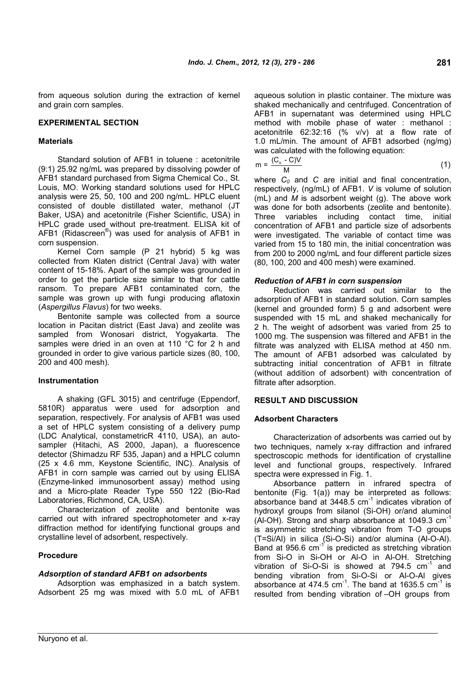from aqueous solution during the extraction of kernel and grain corn samples.

## **EXPERIMENTAL SECTION**

#### **Materials**

Standard solution of AFB1 in toluene : acetonitrile (9:1) 25.92 ng/mL was prepared by dissolving powder of AFB1 standard purchased from Sigma Chemical Co., St. Louis, MO. Working standard solutions used for HPLC analysis were 25, 50, 100 and 200 ng/mL. HPLC eluent consisted of double distillated water, methanol (JT Baker, USA) and acetonitrile (Fisher Scientific, USA) in Three HPLC grade used without pre-treatment. ELISA kit of AFB1 (Ridascreen® ) was used for analysis of AFB1 in corn suspension.

Kernel Corn sample (P 21 hybrid) 5 kg was collected from Klaten district (Central Java) with water content of 15-18%. Apart of the sample was grounded in order to get the particle size similar to that for cattle ransom. To prepare AFB1 contaminated corn, the sample was grown up with fungi producing aflatoxin (*Aspergillus Flavus*) for two weeks.

Bentonite sample was collected from a source location in Pacitan district (East Java) and zeolite was sampled from Wonosari district, Yogyakarta. The samples were dried in an oven at 110 °C for 2 h and grounded in order to give various particle sizes (80, 100, 200 and 400 mesh).

#### **Instrumentation**

A shaking (GFL 3015) and centrifuge (Eppendorf, 5810R) apparatus were used for adsorption and separation, respectively. For analysis of AFB1 was used a set of HPLC system consisting of a delivery pump (LDC Analytical, constametricR 4110, USA), an autosampler (Hitachi, AS 2000, Japan), a fluorescence detector (Shimadzu RF 535, Japan) and a HPLC column (25 x 4.6 mm, Keystone Scientific, INC). Analysis of AFB1 in corn sample was carried out by using ELISA (Enzyme-linked immunosorbent assay) method using and a Micro-plate Reader Type 550 122 (Bio-Rad Laboratories, Richmond, CA, USA).

Characterization of zeolite and bentonite was carried out with infrared spectrophotometer and x-ray diffraction method for identifying functional groups and crystalline level of adsorbent, respectively.

## **Procedure**

## *Adsorption of standard AFB1 on adsorbents*

Adsorption was emphasized in a batch system. Adsorbent 25 mg was mixed with 5.0 mL of AFB1

aqueous solution in plastic container. The mixture was shaked mechanically and centrifuged. Concentration of AFB1 in supernatant was determined using HPLC method with mobile phase of water : methanol : acetonitrile 62:32:16 (% v/v) at a flow rate of 1.0 mL/min. The amount of AFB1 adsorbed (ng/mg) was calculated with the following equation:

$$
m = \frac{(C_o - C)V}{M}
$$
 (1)

where *C<sup>0</sup>* and *C* are initial and final concentration, respectively, (ng/mL) of AFB1. *V* is volume of solution (mL) and *M* is adsorbent weight (g). The above work was done for both adsorbents (zeolite and bentonite). variables including contact time, initial concentration of AFB1 and particle size of adsorbents were investigated. The variable of contact time was varied from 15 to 180 min, the initial concentration was from 200 to 2000 ng/mL and four different particle sizes (80, 100, 200 and 400 mesh) were examined.

## *Reduction of AFB1 in corn suspension*

Reduction was carried out similar to the adsorption of AFB1 in standard solution. Corn samples (kernel and grounded form) 5 g and adsorbent were suspended with 15 mL and shaked mechanically for 2 h. The weight of adsorbent was varied from 25 to 1000 mg. The suspension was filtered and AFB1 in the filtrate was analyzed with ELISA method at 450 nm. The amount of AFB1 adsorbed was calculated by subtracting initial concentration of AFB1 in filtrate (without addition of adsorbent) with concentration of filtrate after adsorption.

## **RESULT AND DISCUSSION**

## **Adsorbent Characters**

Characterization of adsorbents was carried out by two techniques, namely x-ray diffraction and infrared spectroscopic methods for identification of crystalline level and functional groups, respectively. Infrared spectra were expressed in Fig. 1.

Absorbance pattern in infrared spectra of bentonite (Fig. 1(a)) may be interpreted as follows: absorbance band at  $3448.5$  cm<sup>-1</sup> indicates vibration of hydroxyl groups from silanol (Si-OH) or/and aluminol (Al-OH). Strong and sharp absorbance at 1049.3 cm<sup>-1</sup> is asymmetric stretching vibration from T-O groups (T=Si/Al) in silica (Si-O-Si) and/or alumina (Al-O-Al). Band at 956.6 cm<sup>-1</sup> is predicted as stretching vibration from Si-O in Si-OH or Al-O in Al-OH. Stretching vibration of Si-O-Si is showed at  $794.5$   $cm^{-1}$  and bending vibration from Si-O-Si or Al-O-Al gives absorbance at 474.5 cm $^{-1}$ . The band at 1635.5 cm $^{-1}$  is resulted from bending vibration of –OH groups from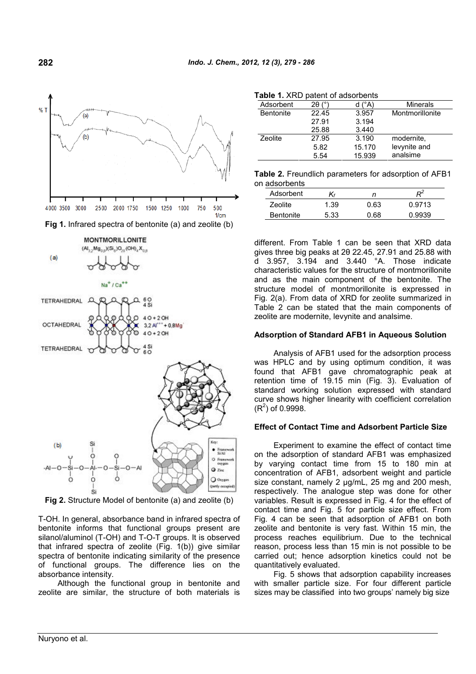

**Fig 2.** Structure Model of bentonite (a) and zeolite (b)

T-OH. In general, absorbance band in infrared spectra of bentonite informs that functional groups present are silanol/aluminol (T-OH) and T-O-T groups. It is observed that infrared spectra of zeolite (Fig. 1(b)) give similar spectra of bentonite indicating similarity of the presence of functional groups. The difference lies on the absorbance intensity.

Although the functional group in bentonite and zeolite are similar, the structure of both materials is

|  |  |  | Table 1. XRD patent of adsorbents |
|--|--|--|-----------------------------------|
|--|--|--|-----------------------------------|

| <b>able 1.</b> AND patent of adsorberts |       |        |                 |  |  |  |
|-----------------------------------------|-------|--------|-----------------|--|--|--|
| Adsorbent                               | 2θ.   | ™°N    | Minerals        |  |  |  |
| <b>Bentonite</b>                        | 22.45 | 3.957  | Montmorillonite |  |  |  |
|                                         | 27.91 | 3.194  |                 |  |  |  |
|                                         | 25.88 | 3.440  |                 |  |  |  |
| Zeolite                                 | 27.95 | 3.190  | modernite.      |  |  |  |
|                                         | 5.82  | 15.170 | levynite and    |  |  |  |
|                                         | 5.54  | 15.939 | analsime        |  |  |  |

| Table 2. Freundlich parameters for adsorption of AFB1 |  |  |
|-------------------------------------------------------|--|--|
| on adsorbents                                         |  |  |

| <u>uuvviivviitv</u> |      |      |        |
|---------------------|------|------|--------|
| Adsorbent           |      |      |        |
| Zeolite             | 1.39 | 0.63 | 0.9713 |
| <b>Bentonite</b>    | 5.33 | 0.68 | 0.9939 |

different. From Table 1 can be seen that XRD data gives three big peaks at 2θ 22.45, 27.91 and 25.88 with d 3.957, 3.194 and 3.440 °A. Those indicate characteristic values for the structure of montmorillonite and as the main component of the bentonite. The structure model of montmorillonite is expressed in Fig. 2(a). From data of XRD for zeolite summarized in Table 2 can be stated that the main components of zeolite are modernite, levynite and analsime.

## **Adsorption of Standard AFB1 in Aqueous Solution**

Analysis of AFB1 used for the adsorption process was HPLC and by using optimum condition, it was found that AFB1 gave chromatographic peak at retention time of 19.15 min (Fig. 3). Evaluation of standard working solution expressed with standard curve shows higher linearity with coefficient correlation  $(R<sup>2</sup>)$  of 0.9998.

#### **Effect of Contact Time and Adsorbent Particle Size**

Experiment to examine the effect of contact time on the adsorption of standard AFB1 was emphasized by varying contact time from 15 to 180 min at concentration of AFB1, adsorbent weight and particle size constant, namely 2  $\mu$ g/mL, 25 mg and 200 mesh, respectively. The analogue step was done for other variables. Result is expressed in Fig. 4 for the effect of contact time and Fig. 5 for particle size effect. From Fig. 4 can be seen that adsorption of AFB1 on both zeolite and bentonite is very fast. Within 15 min, the process reaches equilibrium. Due to the technical reason, process less than 15 min is not possible to be carried out; hence adsorption kinetics could not be quantitatively evaluated.

Fig. 5 shows that adsorption capability increases with smaller particle size. For four different particle sizes may be classified into two groups' namely big size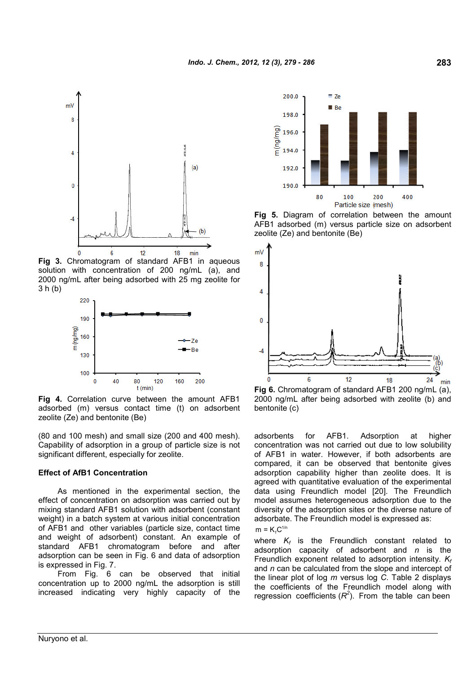

**Fig 3.** Chromatogram of standard AFB1 in aqueous solution with concentration of 200 ng/mL (a), and 2000 ng/mL after being adsorbed with 25 mg zeolite for 3 h (b)



**Fig 4.** Correlation curve between the amount AFB1 adsorbed (m) versus contact time (t) on adsorbent zeolite (Ze) and bentonite (Be)

(80 and 100 mesh) and small size (200 and 400 mesh). Capability of adsorption in a group of particle size is not significant different, especially for zeolite.

#### **Effect of AfB1 Concentration**

As mentioned in the experimental section, the effect of concentration on adsorption was carried out by mixing standard AFB1 solution with adsorbent (constant weight) in a batch system at various initial concentration of AFB1 and other variables (particle size, contact time and weight of adsorbent) constant. An example of standard AFB1 chromatogram before and after adsorption can be seen in Fig. 6 and data of adsorption is expressed in Fig. 7.

From Fig. 6 can be observed that initial concentration up to 2000 ng/mL the adsorption is still increased indicating very highly capacity of the



**Fig 5.** Diagram of correlation between the amount AFB1 adsorbed (m) versus particle size on adsorbent zeolite (Ze) and bentonite (Be)



**Fig 6.** Chromatogram of standard AFB1 200 ng/mL (a), 2000 ng/mL after being adsorbed with zeolite (b) and bentonite (c)

adsorbents for AFB1. Adsorption at higher concentration was not carried out due to low solubility of AFB1 in water. However, if both adsorbents are compared, it can be observed that bentonite gives adsorption capability higher than zeolite does. It is agreed with quantitative evaluation of the experimental data using Freundlich model [20]. The Freundlich model assumes heterogeneous adsorption due to the diversity of the adsorption sites or the diverse nature of adsorbate. The Freundlich model is expressed as:  $m = K<sub>s</sub>C<sup>1/n</sup>$ 

where *K<sup>f</sup>* is the Freundlich constant related to adsorption capacity of adsorbent and *n* is the Freundlich exponent related to adsorption intensity. *K<sup>f</sup>* and *n* can be calculated from the slope and intercept of the linear plot of log *m* versus log *C*. Table 2 displays the coefficients of the Freundlich model along with regression coefficients  $(R^2)$ . From the table can been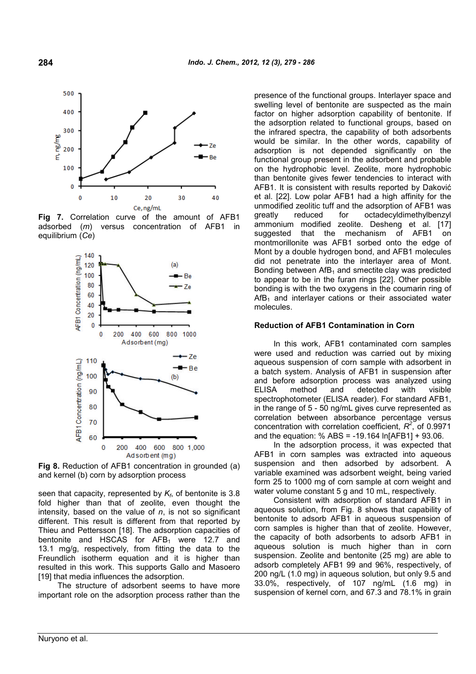

**Fig 7.** Correlation curve of the amount of AFB1 adsorbed (*m*) versus concentration of AFB1 in equilibrium (*Ce*)



**Fig 8.** Reduction of AFB1 concentration in grounded (a) and kernel (b) corn by adsorption process

seen that capacity, represented by *K<sup>f</sup>* , of bentonite is 3.8 fold higher than that of zeolite, even thought the intensity, based on the value of *n*, is not so significant different. This result is different from that reported by Thieu and Pettersson [18]. The adsorption capacities of bentonite and HSCAS for  $AFB<sub>1</sub>$  were 12.7 and 13.1 mg/g, respectively, from fitting the data to the Freundlich isotherm equation and it is higher than resulted in this work. This supports Gallo and Masoero [19] that media influences the adsorption.

The structure of adsorbent seems to have more important role on the adsorption process rather than the presence of the functional groups. Interlayer space and swelling level of bentonite are suspected as the main factor on higher adsorption capability of bentonite. If the adsorption related to functional groups, based on the infrared spectra, the capability of both adsorbents would be similar. In the other words, capability of adsorption is not depended significantly on the functional group present in the adsorbent and probable on the hydrophobic level. Zeolite, more hydrophobic than bentonite gives fewer tendencies to interact with AFB1. It is consistent with results reported by Daković et al. [22]. Low polar AFB1 had a high affinity for the unmodified zeolitic tuff and the adsorption of AFB1 was greatly reduced for octadecyldimethylbenzyl ammonium modified zeolite. Desheng et al. [17] that the mechanism of AFB1 on montmorillonite was AFB1 sorbed onto the edge of Mont by a double hydrogen bond, and AFB1 molecules did not penetrate into the interlayer area of Mont. Bonding between  $AfB_1$  and smectite clay was predicted to appear to be in the furan rings [22]. Other possible bonding is with the two oxygens in the coumarin ring of  $Aff<sub>1</sub>$  and interlayer cations or their associated water molecules.

#### **Reduction of AFB1 Contamination in Corn**

In this work, AFB1 contaminated corn samples were used and reduction was carried out by mixing aqueous suspension of corn sample with adsorbent in a batch system. Analysis of AFB1 in suspension after and before adsorption process was analyzed using ELISA method and detected with visible spectrophotometer (ELISA reader). For standard AFB1, in the range of 5 - 50 ng/mL gives curve represented as correlation between absorbance percentage versus concentration with correlation coefficient,  $R^2$ , of 0.9971 and the equation: % ABS = -19.164 ln[AFB1] + 93.06.

In the adsorption process, it was expected that AFB1 in corn samples was extracted into aqueous suspension and then adsorbed by adsorbent. A variable examined was adsorbent weight, being varied form 25 to 1000 mg of corn sample at corn weight and water volume constant 5 g and 10 mL, respectively.

Consistent with adsorption of standard AFB1 in aqueous solution, from Fig. 8 shows that capability of bentonite to adsorb AFB1 in aqueous suspension of corn samples is higher than that of zeolite. However, the capacity of both adsorbents to adsorb AFB1 in aqueous solution is much higher than in corn suspension. Zeolite and bentonite (25 mg) are able to adsorb completely AFB1 99 and 96%, respectively, of 200 ng/L (1.0 mg) in aqueous solution, but only 9.5 and 33.0%, respectively, of 107 ng/mL (1.6 mg) in suspension of kernel corn, and 67.3 and 78.1% in grain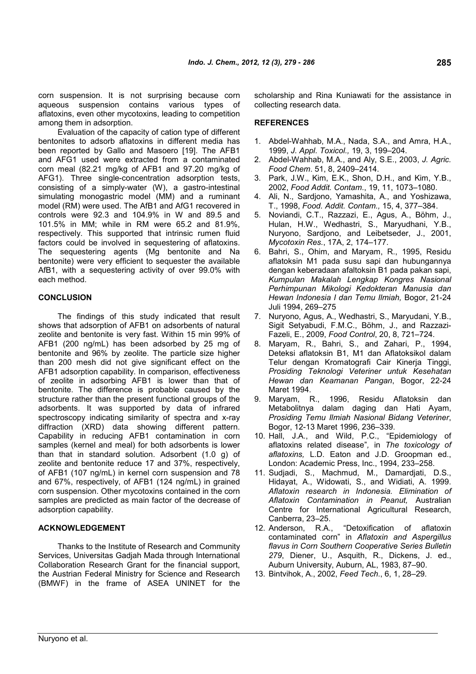corn suspension. It is not surprising because corn aqueous suspension contains various types of aflatoxins, even other mycotoxins, leading to competition among them in adsorption.

Evaluation of the capacity of cation type of different bentonites to adsorb aflatoxins in different media has been reported by Gallo and Masoero [19]. The AFB1 and AFG1 used were extracted from a contaminated corn meal (82.21 mg/kg of AFB1 and 97.20 mg/kg of AFG1). Three single-concentration adsorption tests, consisting of a simply-water (W), a gastro-intestinal simulating monogastric model (MM) and a ruminant model (RM) were used. The AfB1 and AfG1 recovered in controls were 92.3 and 104.9% in W and 89.5 and 101.5% in MM; while in RM were 65.2 and 81.9%, respectively. This supported that intrinsic rumen fluid factors could be involved in sequestering of aflatoxins. The sequestering agents (Mg bentonite and Na bentonite) were very efficient to sequester the available AfB1, with a sequestering activity of over 99.0% with each method.

## **CONCLUSION**

The findings of this study indicated that result shows that adsorption of AFB1 on adsorbents of natural zeolite and bentonite is very fast. Within 15 min 99% of AFB1 (200 ng/mL) has been adsorbed by 25 mg of bentonite and 96% by zeolite. The particle size higher than 200 mesh did not give significant effect on the AFB1 adsorption capability. In comparison, effectiveness of zeolite in adsorbing AFB1 is lower than that of bentonite. The difference is probable caused by the structure rather than the present functional groups of the adsorbents. It was supported by data of infrared spectroscopy indicating similarity of spectra and x-ray diffraction (XRD) data showing different pattern. Capability in reducing AFB1 contamination in corn samples (kernel and meal) for both adsorbents is lower than that in standard solution. Adsorbent (1.0 g) of zeolite and bentonite reduce 17 and 37%, respectively, of AFB1 (107 ng/mL) in kernel corn suspension and 78 and 67%, respectively, of AFB1 (124 ng/mL) in grained corn suspension. Other mycotoxins contained in the corn samples are predicted as main factor of the decrease of adsorption capability.

## **ACKNOWLEDGEMENT**

Thanks to the Institute of Research and Community Services, Universitas Gadjah Mada through International Collaboration Research Grant for the financial support, the Austrian Federal Ministry for Science and Research (BMWF) in the frame of ASEA UNINET for the scholarship and Rina Kuniawati for the assistance in collecting research data.

### **REFERENCES**

- 1. Abdel-Wahhab, M.A., Nada, S.A., and Amra, H.A., 1999, *J. Appl. Toxicol.,* 19, 3, 199–204.
- 2. Abdel-Wahhab, M.A., and Aly, S.E., 2003, *J. Agric. Food Chem*. 51, 8, 2409–2414.
- 3. Park, J.W., Kim, E.K., Shon, D.H., and Kim, Y.B., 2002, *Food Addit. Contam*., 19, 11, 1073–1080.
- 4. Ali, N., Sardjono, Yamashita, A., and Yoshizawa, T., 1998, *Food. Addit. Contam.,* 15, 4, 377–384.
- 5. Noviandi, C.T., Razzazi, E., Agus, A., Böhm, J., Hulan, H.W., Wedhastri, S., Maryudhani, Y.B., Nuryono, Sardjono, and Leibetseder, J., 2001, *Mycotoxin Res.*, 17A, 2, 174–177.
- 6. Bahri, S., Ohim, and Maryam, R., 1995, Residu aflatoksin M1 pada susu sapi dan hubungannya dengan keberadaan afaltoksin B1 pada pakan sapi, *Kumpulan Makalah Lengkap Kongres Nasional Perhimpunan Mikologi Kedokteran Manusia dan Hewan Indonesia I dan Temu Ilmiah,* Bogor, 21-24 Juli 1994, 269–275
- 7. Nuryono, Agus, A., Wedhastri, S., Maryudani, Y.B., Sigit Setyabudi, F.M.C., Böhm, J., and Razzazi-Fazeli, E., 2009, *Food Control*, 20, 8, 721–724.
- 8. Maryam, R., Bahri, S., and Zahari, P., 1994, Deteksi aflatoksin B1, M1 dan Aflatoksikol dalam Telur dengan Kromatografi Cair Kinerja Tinggi, *Prosiding Teknologi Veteriner untuk Kesehatan Hewan dan Keamanan Pangan*, Bogor, 22-24 Maret 1994.
- 9. Maryam, R., 1996, Residu Aflatoksin dan Metabolitnya dalam daging dan Hati Ayam, *Prosiding Temu Ilmiah Nasional Bidang Veteriner*, Bogor, 12-13 Maret 1996, 236–339.
- 10. Hall, J.A., and Wild, P.C., "Epidemiology of aflatoxins related disease"*,* in *The toxicology of aflatoxins,* L.D. Eaton and J.D. Groopman ed., London: Academic Press, Inc., 1994, 233–258.
- 11. Sudjadi, S., Machmud, M., Damardjati, D.S., Hidayat, A., Widowati, S., and Widiati, A. 1999. *Aflatoxin research in Indonesia. Elimination of Aflatoxin Contamination in Peanut,* Australian Centre for International Agricultural Research, Canberra, 23–25.
- 12. Anderson, R.A., "Detoxification of aflatoxin contaminated corn" in *Aflatoxin and Aspergillus flavus in Corn Southern Cooperative Series Bulletin 279*, Diener, U., Asquith, R., Dickens, J. ed., Auburn University, Auburn, AL, 1983, 87–90.
- 13. Bintvihok, A., 2002, *Feed Tech*., 6, 1, 28–29.